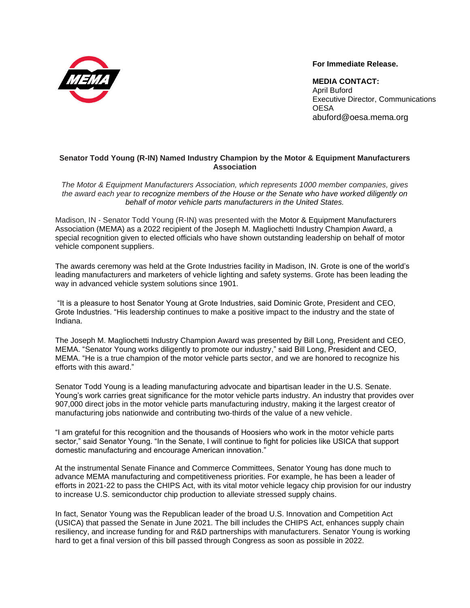

**For Immediate Release.**

**MEDIA CONTACT:**  April Buford Executive Director, Communications **OESA** [abuford@oesa.mema.org](mailto:abuford@oesa.mema.org)

## **Senator Todd Young (R-IN) Named Industry Champion by the Motor & Equipment Manufacturers Association**

*The Motor & Equipment Manufacturers Association, which represents 1000 member companies, gives the award each year to recognize members of the House or the Senate who have worked diligently on behalf of motor vehicle parts manufacturers in the United States.*

Madison, IN - Senator Todd Young (R-IN) was presented with the Motor & Equipment Manufacturers Association (MEMA) as a 2022 recipient of the Joseph M. Magliochetti Industry Champion Award, a special recognition given to elected officials who have shown outstanding leadership on behalf of motor vehicle component suppliers.

The awards ceremony was held at the Grote Industries facility in Madison, IN. Grote is one of the world's leading manufacturers and marketers of vehicle lighting and safety systems. Grote has been leading the way in advanced vehicle system solutions since 1901.

"It is a pleasure to host Senator Young at Grote Industries, said Dominic Grote, President and CEO, Grote Industries. "His leadership continues to make a positive impact to the industry and the state of Indiana.

The Joseph M. Magliochetti Industry Champion Award was presented by Bill Long, President and CEO, MEMA. "Senator Young works diligently to promote our industry," said Bill Long, President and CEO, MEMA. "He is a true champion of the motor vehicle parts sector, and we are honored to recognize his efforts with this award."

Senator Todd Young is a leading manufacturing advocate and bipartisan leader in the U.S. Senate. Young's work carries great significance for the motor vehicle parts industry. An industry that provides over 907,000 direct jobs in the motor vehicle parts manufacturing industry, making it the largest creator of manufacturing jobs nationwide and contributing two-thirds of the value of a new vehicle.

"I am grateful for this recognition and the thousands of Hoosiers who work in the motor vehicle parts sector," said Senator Young. "In the Senate, I will continue to fight for policies like USICA that support domestic manufacturing and encourage American innovation."

At the instrumental Senate Finance and Commerce Committees, Senator Young has done much to advance MEMA manufacturing and competitiveness priorities. For example, he has been a leader of efforts in 2021-22 to pass the CHIPS Act, with its vital motor vehicle legacy chip provision for our industry to increase U.S. semiconductor chip production to alleviate stressed supply chains.

In fact, Senator Young was the Republican leader of the broad U.S. Innovation and Competition Act (USICA) that passed the Senate in June 2021. The bill includes the CHIPS Act, enhances supply chain resiliency, and increase funding for and R&D partnerships with manufacturers. Senator Young is working hard to get a final version of this bill passed through Congress as soon as possible in 2022.